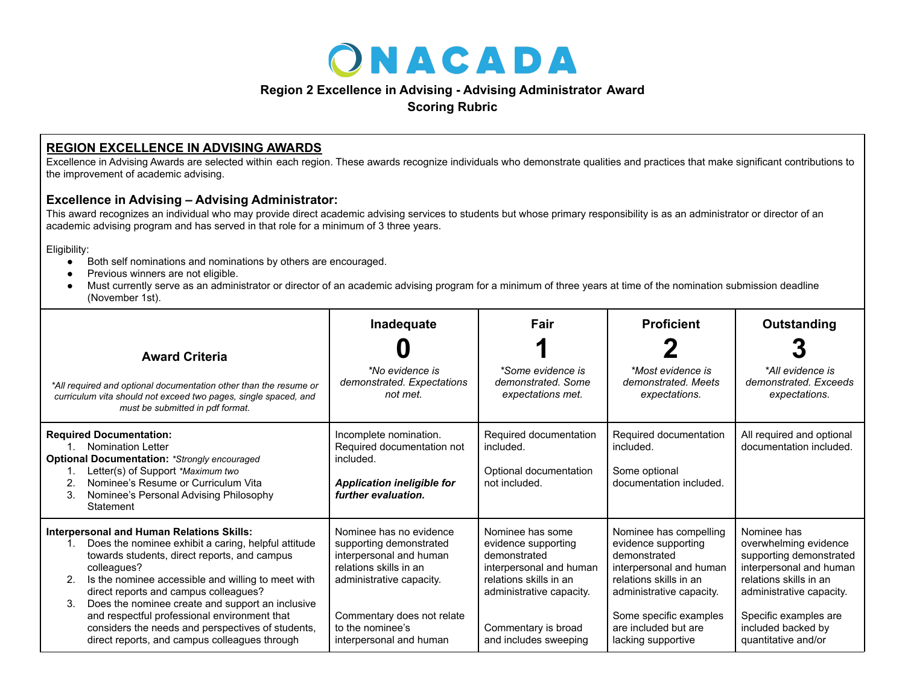

## **Region 2 Excellence in Advising - Advising Administrator Award**

**Scoring Rubric**

## **REGION EXCELLENCE IN ADVISING AWARDS**

Excellence in Advising Awards are selected within each region. These awards recognize individuals who demonstrate qualities and practices that make significant contributions to the improvement of academic advising.

## **Excellence in Advising – Advising Administrator:**

This award recognizes an individual who may provide direct academic advising services to students but whose primary responsibility is as an administrator or director of an academic advising program and has served in that role for a minimum of 3 three years.

Eligibility:

- Both self nominations and nominations by others are encouraged.
- Previous winners are not eligible.
- Must currently serve as an administrator or director of an academic advising program for a minimum of three years at time of the nomination submission deadline (November 1st).

| <b>Award Criteria</b><br>*All required and optional documentation other than the resume or<br>curriculum vita should not exceed two pages, single spaced, and<br>must be submitted in pdf format.                                                                                                                                                                                                                                                                                           | Inadequate<br>*No evidence is<br>demonstrated. Expectations<br>not met.                                                                                                                                          | Fair<br>*Some evidence is<br>demonstrated. Some<br>expectations met.                                                                                                                     | <b>Proficient</b><br>*Most evidence is<br>demonstrated, Meets<br>expectations.                                                                                                                                         | Outstanding<br>*All evidence is<br>demonstrated. Exceeds<br>expectations.                                                                                                                                              |
|---------------------------------------------------------------------------------------------------------------------------------------------------------------------------------------------------------------------------------------------------------------------------------------------------------------------------------------------------------------------------------------------------------------------------------------------------------------------------------------------|------------------------------------------------------------------------------------------------------------------------------------------------------------------------------------------------------------------|------------------------------------------------------------------------------------------------------------------------------------------------------------------------------------------|------------------------------------------------------------------------------------------------------------------------------------------------------------------------------------------------------------------------|------------------------------------------------------------------------------------------------------------------------------------------------------------------------------------------------------------------------|
| <b>Required Documentation:</b><br><b>Nomination Letter</b><br><b>Optional Documentation: *Strongly encouraged</b><br>Letter(s) of Support *Maximum two<br>Nominee's Resume or Curriculum Vita<br>2.<br>3.<br>Nominee's Personal Advising Philosophy<br>Statement                                                                                                                                                                                                                            | Incomplete nomination.<br>Required documentation not<br>included.<br><b>Application ineligible for</b><br>further evaluation.                                                                                    | Required documentation<br>included.<br>Optional documentation<br>not included.                                                                                                           | Required documentation<br>included.<br>Some optional<br>documentation included.                                                                                                                                        | All required and optional<br>documentation included.                                                                                                                                                                   |
| <b>Interpersonal and Human Relations Skills:</b><br>Does the nominee exhibit a caring, helpful attitude<br>towards students, direct reports, and campus<br>colleagues?<br>Is the nominee accessible and willing to meet with<br>2.<br>direct reports and campus colleagues?<br>Does the nominee create and support an inclusive<br>3.<br>and respectful professional environment that<br>considers the needs and perspectives of students,<br>direct reports, and campus colleagues through | Nominee has no evidence<br>supporting demonstrated<br>interpersonal and human<br>relations skills in an<br>administrative capacity.<br>Commentary does not relate<br>to the nominee's<br>interpersonal and human | Nominee has some<br>evidence supporting<br>demonstrated<br>interpersonal and human<br>relations skills in an<br>administrative capacity.<br>Commentary is broad<br>and includes sweeping | Nominee has compelling<br>evidence supporting<br>demonstrated<br>interpersonal and human<br>relations skills in an<br>administrative capacity.<br>Some specific examples<br>are included but are<br>lacking supportive | Nominee has<br>overwhelming evidence<br>supporting demonstrated<br>interpersonal and human<br>relations skills in an<br>administrative capacity.<br>Specific examples are<br>included backed by<br>quantitative and/or |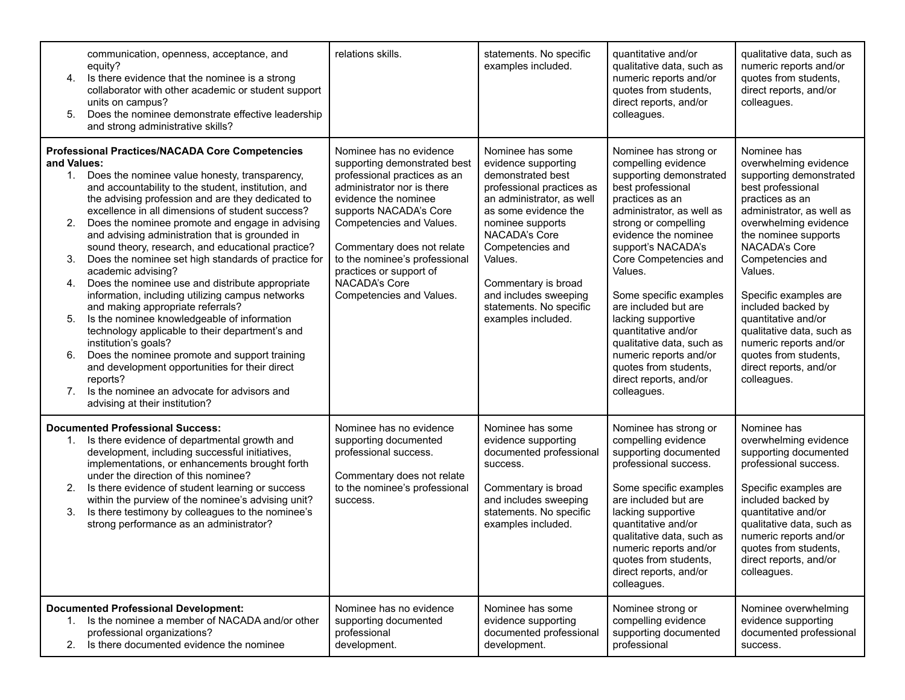| 4.<br>5.                                        | communication, openness, acceptance, and<br>equity?<br>Is there evidence that the nominee is a strong<br>collaborator with other academic or student support<br>units on campus?<br>Does the nominee demonstrate effective leadership<br>and strong administrative skills?                                                                                                                                                                                                                                                                                                                                                                                                                                                                                                                                                                                                                                                                                                               | relations skills.                                                                                                                                                                                                                                                                                                                          | statements. No specific<br>examples included.                                                                                                                                                                                                                                                                       | quantitative and/or<br>qualitative data, such as<br>numeric reports and/or<br>quotes from students,<br>direct reports, and/or<br>colleagues.                                                                                                                                                                                                                                                                                                                                   | qualitative data, such as<br>numeric reports and/or<br>quotes from students,<br>direct reports, and/or<br>colleagues.                                                                                                                                                                                                                                                                                                                |
|-------------------------------------------------|------------------------------------------------------------------------------------------------------------------------------------------------------------------------------------------------------------------------------------------------------------------------------------------------------------------------------------------------------------------------------------------------------------------------------------------------------------------------------------------------------------------------------------------------------------------------------------------------------------------------------------------------------------------------------------------------------------------------------------------------------------------------------------------------------------------------------------------------------------------------------------------------------------------------------------------------------------------------------------------|--------------------------------------------------------------------------------------------------------------------------------------------------------------------------------------------------------------------------------------------------------------------------------------------------------------------------------------------|---------------------------------------------------------------------------------------------------------------------------------------------------------------------------------------------------------------------------------------------------------------------------------------------------------------------|--------------------------------------------------------------------------------------------------------------------------------------------------------------------------------------------------------------------------------------------------------------------------------------------------------------------------------------------------------------------------------------------------------------------------------------------------------------------------------|--------------------------------------------------------------------------------------------------------------------------------------------------------------------------------------------------------------------------------------------------------------------------------------------------------------------------------------------------------------------------------------------------------------------------------------|
| and Values:<br>2.<br>3.<br>4.<br>5.<br>6.<br>7. | <b>Professional Practices/NACADA Core Competencies</b><br>1. Does the nominee value honesty, transparency,<br>and accountability to the student, institution, and<br>the advising profession and are they dedicated to<br>excellence in all dimensions of student success?<br>Does the nominee promote and engage in advising<br>and advising administration that is grounded in<br>sound theory, research, and educational practice?<br>Does the nominee set high standards of practice for<br>academic advising?<br>Does the nominee use and distribute appropriate<br>information, including utilizing campus networks<br>and making appropriate referrals?<br>Is the nominee knowledgeable of information<br>technology applicable to their department's and<br>institution's goals?<br>Does the nominee promote and support training<br>and development opportunities for their direct<br>reports?<br>Is the nominee an advocate for advisors and<br>advising at their institution? | Nominee has no evidence<br>supporting demonstrated best<br>professional practices as an<br>administrator nor is there<br>evidence the nominee<br>supports NACADA's Core<br>Competencies and Values.<br>Commentary does not relate<br>to the nominee's professional<br>practices or support of<br>NACADA's Core<br>Competencies and Values. | Nominee has some<br>evidence supporting<br>demonstrated best<br>professional practices as<br>an administrator, as well<br>as some evidence the<br>nominee supports<br>NACADA's Core<br>Competencies and<br>Values.<br>Commentary is broad<br>and includes sweeping<br>statements. No specific<br>examples included. | Nominee has strong or<br>compelling evidence<br>supporting demonstrated<br>best professional<br>practices as an<br>administrator, as well as<br>strong or compelling<br>evidence the nominee<br>support's NACADA's<br>Core Competencies and<br>Values.<br>Some specific examples<br>are included but are<br>lacking supportive<br>quantitative and/or<br>qualitative data, such as<br>numeric reports and/or<br>quotes from students,<br>direct reports, and/or<br>colleagues. | Nominee has<br>overwhelming evidence<br>supporting demonstrated<br>best professional<br>practices as an<br>administrator, as well as<br>overwhelming evidence<br>the nominee supports<br>NACADA's Core<br>Competencies and<br>Values.<br>Specific examples are<br>included backed by<br>quantitative and/or<br>qualitative data, such as<br>numeric reports and/or<br>quotes from students,<br>direct reports, and/or<br>colleagues. |
| 3.                                              | <b>Documented Professional Success:</b><br>1. Is there evidence of departmental growth and<br>development, including successful initiatives,<br>implementations, or enhancements brought forth<br>under the direction of this nominee?<br>Is there evidence of student learning or success<br>within the purview of the nominee's advising unit?<br>Is there testimony by colleagues to the nominee's<br>strong performance as an administrator?                                                                                                                                                                                                                                                                                                                                                                                                                                                                                                                                         | Nominee has no evidence<br>supporting documented<br>professional success.<br>Commentary does not relate<br>to the nominee's professional<br>success.                                                                                                                                                                                       | Nominee has some<br>evidence supporting<br>documented professional<br>success.<br>Commentary is broad<br>and includes sweeping<br>statements. No specific<br>examples included.                                                                                                                                     | Nominee has strong or<br>compelling evidence<br>supporting documented<br>professional success.<br>Some specific examples<br>are included but are<br>lacking supportive<br>quantitative and/or<br>qualitative data, such as<br>numeric reports and/or<br>quotes from students,<br>direct reports, and/or<br>colleagues.                                                                                                                                                         | Nominee has<br>overwhelming evidence<br>supporting documented<br>professional success.<br>Specific examples are<br>included backed by<br>quantitative and/or<br>qualitative data, such as<br>numeric reports and/or<br>quotes from students,<br>direct reports, and/or<br>colleagues.                                                                                                                                                |
| 2.                                              | <b>Documented Professional Development:</b><br>1. Is the nominee a member of NACADA and/or other<br>professional organizations?<br>Is there documented evidence the nominee                                                                                                                                                                                                                                                                                                                                                                                                                                                                                                                                                                                                                                                                                                                                                                                                              | Nominee has no evidence<br>supporting documented<br>professional<br>development.                                                                                                                                                                                                                                                           | Nominee has some<br>evidence supporting<br>documented professional<br>development.                                                                                                                                                                                                                                  | Nominee strong or<br>compelling evidence<br>supporting documented<br>professional                                                                                                                                                                                                                                                                                                                                                                                              | Nominee overwhelming<br>evidence supporting<br>documented professional<br>success.                                                                                                                                                                                                                                                                                                                                                   |